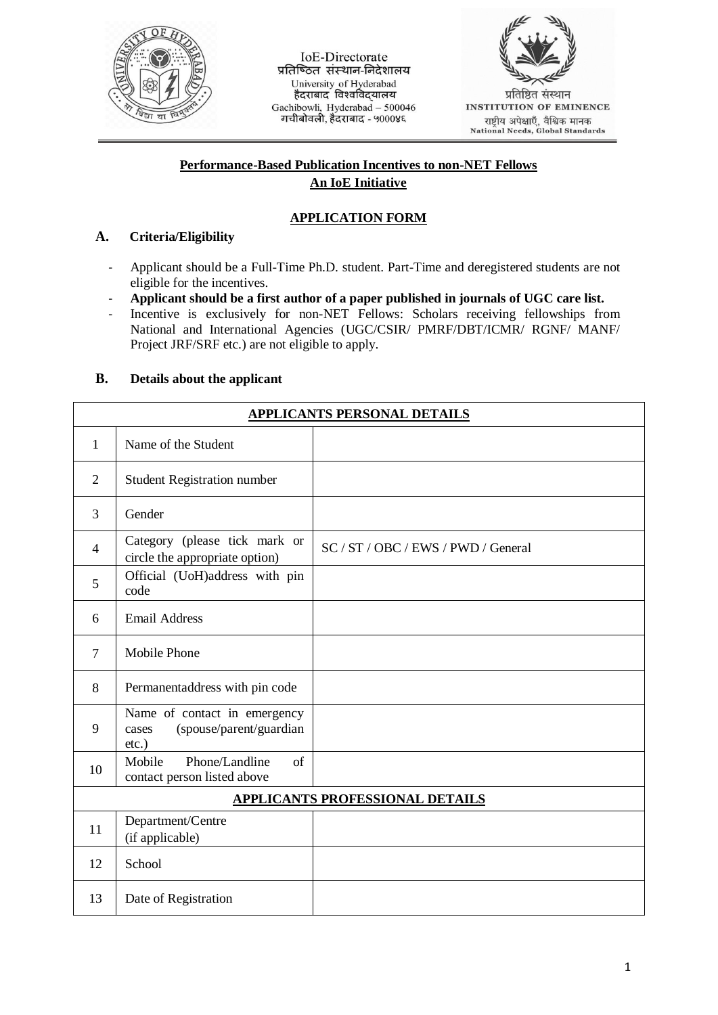

IoE-Directorate प्रतिष्ठित संस्थान-निदेशालय University of Hyderabad<br>हैदराबाद विश्वविदयालय Gachibowli, Hyderabad - 500046 गचीबोवली, हैंदराबाद - ५०००४६



राष्ट्रीय अपेक्षाएँ, वैश्विक मानक<br>National Needs, Global Standards

## **Performance-Based Publication Incentives to non-NET Fellows An IoE Initiative**

# **APPLICATION FORM**

## **A. Criteria/Eligibility**

- Applicant should be a Full-Time Ph.D. student. Part-Time and deregistered students are not eligible for the incentives.
- **Applicant should be a first author of a paper published in journals of UGC care list.**
- Incentive is exclusively for non-NET Fellows: Scholars receiving fellowships from National and International Agencies (UGC/CSIR/ PMRF/DBT/ICMR/ RGNF/ MANF/ Project JRF/SRF etc.) are not eligible to apply.

## **B. Details about the applicant**

| APPLICANTS PERSONAL DETAILS            |                                                                              |                                     |  |  |
|----------------------------------------|------------------------------------------------------------------------------|-------------------------------------|--|--|
| $\mathbf{1}$                           | Name of the Student                                                          |                                     |  |  |
| $\overline{2}$                         | <b>Student Registration number</b>                                           |                                     |  |  |
| 3                                      | Gender                                                                       |                                     |  |  |
| $\overline{4}$                         | Category (please tick mark or<br>circle the appropriate option)              | SC / ST / OBC / EWS / PWD / General |  |  |
| 5                                      | Official (UoH)address with pin<br>code                                       |                                     |  |  |
| 6                                      | <b>Email Address</b>                                                         |                                     |  |  |
| $\tau$                                 | <b>Mobile Phone</b>                                                          |                                     |  |  |
| 8                                      | Permanentaddress with pin code                                               |                                     |  |  |
| 9                                      | Name of contact in emergency<br>(spouse/parent/guardian<br>cases<br>$etc.$ ) |                                     |  |  |
| 10                                     | Mobile<br>Phone/Landline<br>$\sigma$ f<br>contact person listed above        |                                     |  |  |
| <b>APPLICANTS PROFESSIONAL DETAILS</b> |                                                                              |                                     |  |  |
| 11                                     | Department/Centre<br>(if applicable)                                         |                                     |  |  |
| 12                                     | School                                                                       |                                     |  |  |
| 13                                     | Date of Registration                                                         |                                     |  |  |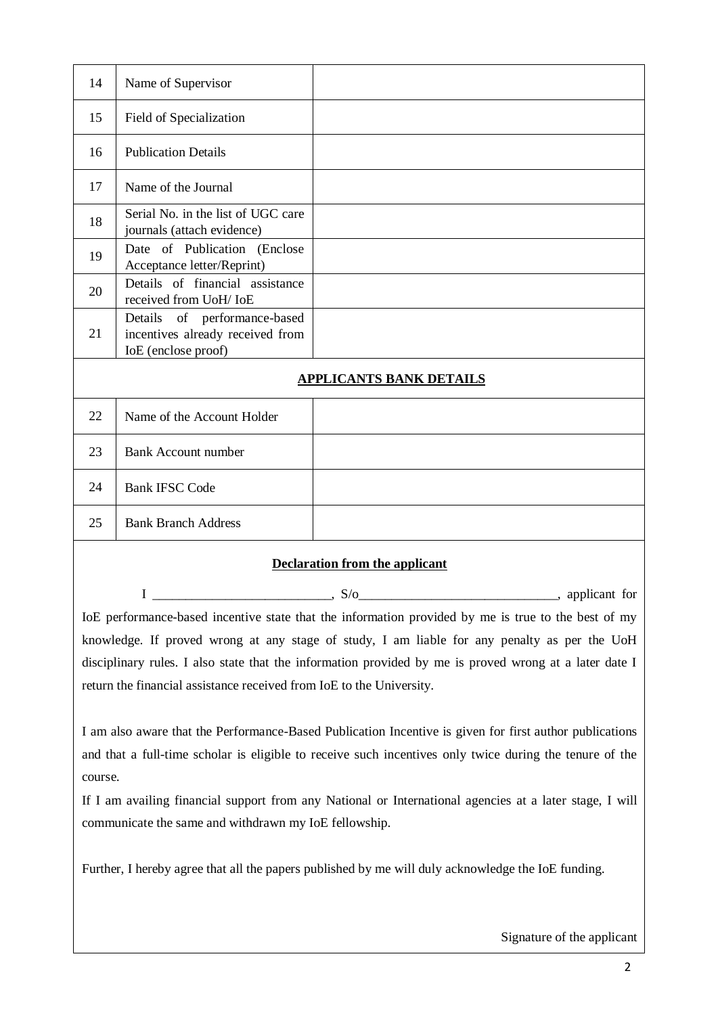| 14                             | Name of Supervisor                                                                         |  |  |  |
|--------------------------------|--------------------------------------------------------------------------------------------|--|--|--|
| 15                             | Field of Specialization                                                                    |  |  |  |
| 16                             | <b>Publication Details</b>                                                                 |  |  |  |
| 17                             | Name of the Journal                                                                        |  |  |  |
| 18                             | Serial No. in the list of UGC care<br>journals (attach evidence)                           |  |  |  |
| 19                             | Date of Publication (Enclose<br>Acceptance letter/Reprint)                                 |  |  |  |
| 20                             | Details of financial assistance<br>received from UoH/ IoE                                  |  |  |  |
| 21                             | Details<br>of performance-based<br>incentives already received from<br>IoE (enclose proof) |  |  |  |
| <b>APPLICANTS BANK DETAILS</b> |                                                                                            |  |  |  |
| 22                             | Name of the Account Holder                                                                 |  |  |  |
| 23                             | <b>Bank Account number</b>                                                                 |  |  |  |
| 24                             | <b>Bank IFSC Code</b>                                                                      |  |  |  |
| 25                             | <b>Bank Branch Address</b>                                                                 |  |  |  |

#### **Declaration from the applicant**

 $I \longrightarrow S/O$ , so applicant for IoE performance-based incentive state that the information provided by me is true to the best of my knowledge. If proved wrong at any stage of study, I am liable for any penalty as per the UoH disciplinary rules. I also state that the information provided by me is proved wrong at a later date I return the financial assistance received from IoE to the University.

I am also aware that the Performance-Based Publication Incentive is given for first author publications and that a full-time scholar is eligible to receive such incentives only twice during the tenure of the course.

If I am availing financial support from any National or International agencies at a later stage, I will communicate the same and withdrawn my IoE fellowship.

Further, I hereby agree that all the papers published by me will duly acknowledge the IoE funding.

Signature of the applicant